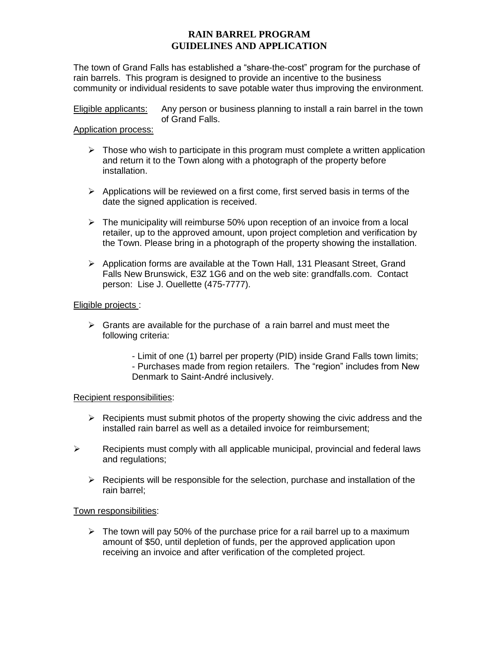### **RAIN BARREL PROGRAM GUIDELINES AND APPLICATION**

The town of Grand Falls has established a "share-the-cost" program for the purchase of rain barrels. This program is designed to provide an incentive to the business community or individual residents to save potable water thus improving the environment.

Eligible applicants: Any person or business planning to install a rain barrel in the town of Grand Falls.

#### Application process:

- $\triangleright$  Those who wish to participate in this program must complete a written application and return it to the Town along with a photograph of the property before installation.
- $\triangleright$  Applications will be reviewed on a first come, first served basis in terms of the date the signed application is received.
- $\triangleright$  The municipality will reimburse 50% upon reception of an invoice from a local retailer, up to the approved amount, upon project completion and verification by the Town. Please bring in a photograph of the property showing the installation.
- $\triangleright$  Application forms are available at the Town Hall, 131 Pleasant Street, Grand Falls New Brunswick, E3Z 1G6 and on the web site: grandfalls.com. Contact person: Lise J. Ouellette (475-7777).

#### Eligible projects :

- $\triangleright$  Grants are available for the purchase of a rain barrel and must meet the following criteria:
	- Limit of one (1) barrel per property (PID) inside Grand Falls town limits;
	- Purchases made from region retailers. The "region" includes from New Denmark to Saint-André inclusively.

#### Recipient responsibilities:

- $\triangleright$  Recipients must submit photos of the property showing the civic address and the installed rain barrel as well as a detailed invoice for reimbursement;
- $\triangleright$  Recipients must comply with all applicable municipal, provincial and federal laws and regulations;
	- $\triangleright$  Recipients will be responsible for the selection, purchase and installation of the rain barrel;

### Town responsibilities:

 $\triangleright$  The town will pay 50% of the purchase price for a rail barrel up to a maximum amount of \$50, until depletion of funds, per the approved application upon receiving an invoice and after verification of the completed project.